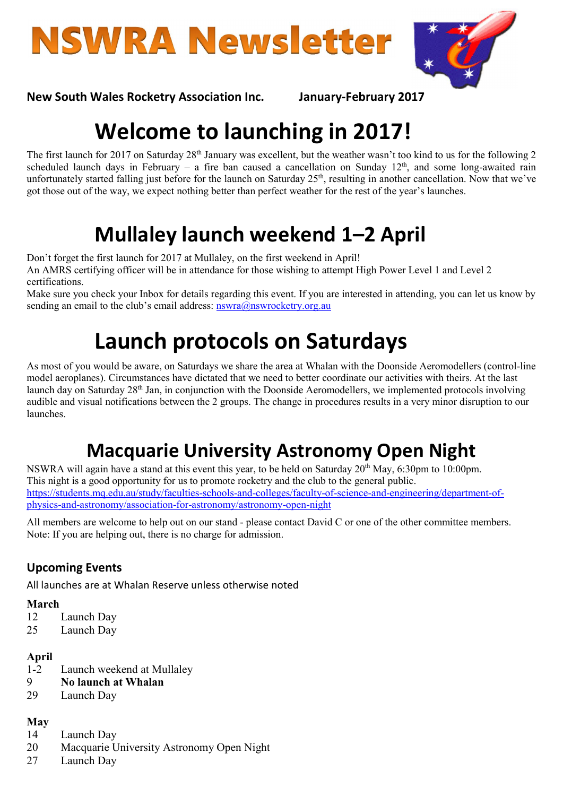



### New South Wales Rocketry Association Inc. January-February 2017

# Welcome to launching in 2017!

The first launch for 2017 on Saturday 28<sup>th</sup> January was excellent, but the weather wasn't too kind to us for the following 2 scheduled launch days in February – a fire ban caused a cancellation on Sunday  $12<sup>th</sup>$ , and some long-awaited rain unfortunately started falling just before for the launch on Saturday 25<sup>th</sup>, resulting in another cancellation. Now that we've got those out of the way, we expect nothing better than perfect weather for the rest of the year's launches.

# Mullaley launch weekend 1–2 April

Don't forget the first launch for 2017 at Mullaley, on the first weekend in April! An AMRS certifying officer will be in attendance for those wishing to attempt High Power Level 1 and Level 2 certifications.

Make sure you check your Inbox for details regarding this event. If you are interested in attending, you can let us know by sending an email to the club's email address: nswra@nswrocketry.org.au

# Launch protocols on Saturdays

As most of you would be aware, on Saturdays we share the area at Whalan with the Doonside Aeromodellers (control-line model aeroplanes). Circumstances have dictated that we need to better coordinate our activities with theirs. At the last launch day on Saturday 28th Jan, in conjunction with the Doonside Aeromodellers, we implemented protocols involving audible and visual notifications between the 2 groups. The change in procedures results in a very minor disruption to our launches.

## Macquarie University Astronomy Open Night

NSWRA will again have a stand at this event this year, to be held on Saturday 20<sup>th</sup> May, 6:30pm to 10:00pm. This night is a good opportunity for us to promote rocketry and the club to the general public. https://students.mq.edu.au/study/faculties-schools-and-colleges/faculty-of-science-and-engineering/department-ofphysics-and-astronomy/association-for-astronomy/astronomy-open-night

All members are welcome to help out on our stand - please contact David C or one of the other committee members. Note: If you are helping out, there is no charge for admission.

### Upcoming Events

All launches are at Whalan Reserve unless otherwise noted

#### March

- 12 Launch Day
- 25 Launch Day

#### April

- 1-2 Launch weekend at Mullaley
- 9 No launch at Whalan
- 29 Launch Day

#### May

- 14 Launch Day
- 20 Macquarie University Astronomy Open Night
- 27 Launch Day